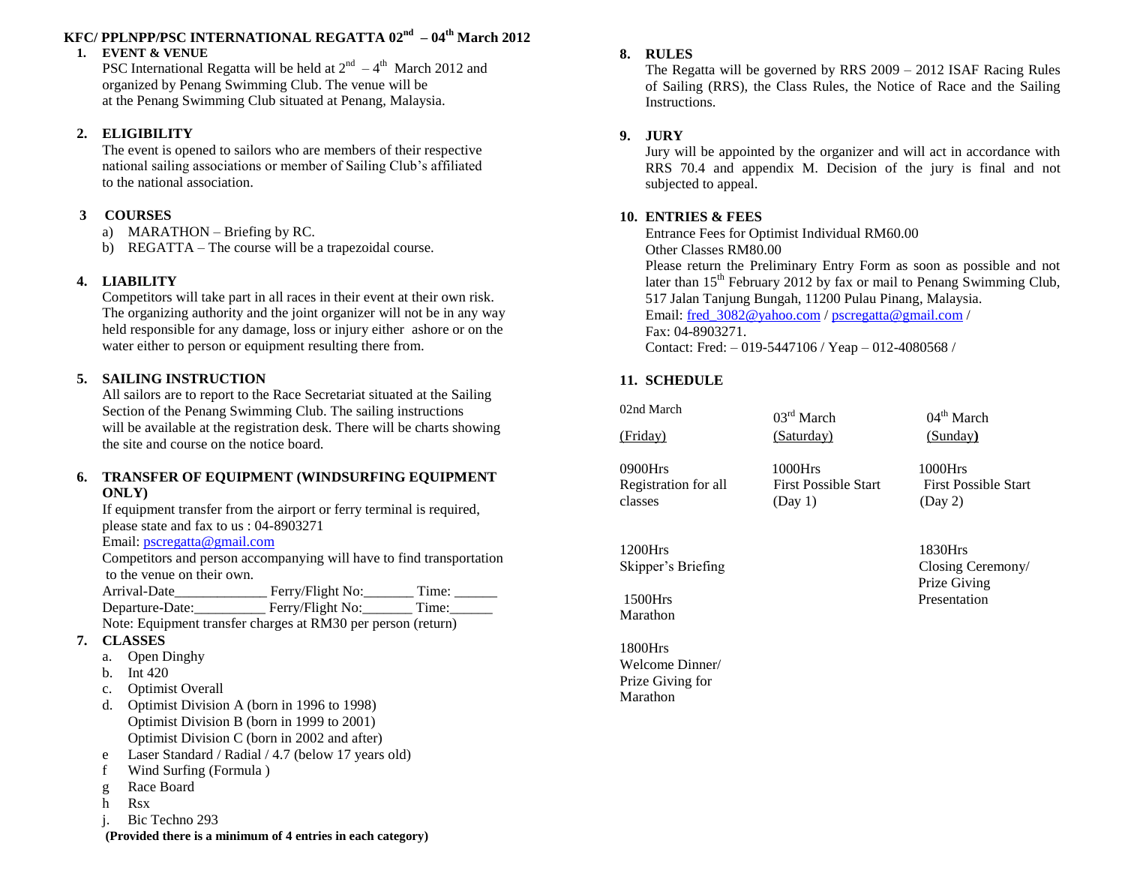## **KFC/ PPLNPP/PSC INTERNATIONAL REGATTA 02 nd – 04 th March 2012**

#### **1. EVENT & VENUE**

PSC International Regatta will be held at  $2<sup>nd</sup> - 4<sup>th</sup>$  March 2012 and organized by Penang Swimming Club. The venue will be at the Penang Swimming Club situated at Penang, Malaysia.

#### **2. ELIGIBILITY**

The event is opened to sailors who are members of their respective national sailing associations or member of Sailing Club's affiliated to the national association.

#### **3 COURSES**

- a) MARATHON Briefing by RC.
- b) REGATTA The course will be a trapezoidal course.

## **4. LIABILITY**

Competitors will take part in all races in their event at their own risk. The organizing authority and the joint organizer will not be in any way held responsible for any damage, loss or injury either ashore or on the water either to person or equipment resulting there from.

## **5. SAILING INSTRUCTION**

All sailors are to report to the Race Secretariat situated at the Sailing Section of the Penang Swimming Club. The sailing instructions will be available at the registration desk. There will be charts showing the site and course on the notice board.

#### **6. TRANSFER OF EQUIPMENT (WINDSURFING EQUIPMENT ONLY)**

If equipment transfer from the airport or ferry terminal is required, please state and fax to us : 04-8903271

#### Email: pscregatta@gmail.com

Competitors and person accompanying will have to find transportation to the venue on their own.

| Arrival-Date    | Ferry/Flight No: | Time: |
|-----------------|------------------|-------|
| Departure-Date: | Ferry/Flight No: | Time: |
| .               |                  |       |

Note: Equipment transfer charges at RM30 per person (return)

#### **7. CLASSES**

- a. Open Dinghy
- b. Int 420
- c. Optimist Overall
- d. Optimist Division A (born in 1996 to 1998) Optimist Division B (born in 1999 to 2001) Optimist Division C (born in 2002 and after)
- e Laser Standard / Radial / 4.7 (below 17 years old)
- f Wind Surfing (Formula )
- g Race Board
- h Rsx
- j. Bic Techno 293

**(Provided there is a minimum of 4 entries in each category)**

#### **8. RULES**

The Regatta will be governed by RRS 2009 – 2012 ISAF Racing Rules of Sailing (RRS), the Class Rules, the Notice of Race and the Sailing Instructions.

#### **9. JURY**

Jury will be appointed by the organizer and will act in accordance with RRS 70.4 and appendix M. Decision of the jury is final and not subjected to appeal.

#### **10. ENTRIES & FEES**

Entrance Fees for Optimist Individual RM60.00 Other Classes RM80.00 Please return the Preliminary Entry Form as soon as possible and not later than  $15<sup>th</sup>$  February 2012 by fax or mail to Penang Swimming Club, 517 Jalan Tanjung Bungah, 11200 Pulau Pinang, Malaysia. Email: fred 3082@yahoo.com [/ pscregatta@gmail.com](mailto:pscregatta@gmail.com) / Fax: 04-8903271. Contact: Fred: – 019-5447106 / Yeap – 012-4080568 /

## **11. SCHEDULE**

02nd March (Friday) (Saturday) (Sunday**)**

03 rd March 04

 $04<sup>th</sup>$  March

0900Hrs 1000Hrs 1000Hrs 1000Hrs Registration for all First Possible Start First Possible Start  $\text{classes}$  (Day 1) (Day 2)

1200Hrs 1830Hrs

Marathon

1800Hrs Welcome Dinner/ Prize Giving for Marathon

Skipper's Briefing Closing Ceremony/ Prize Giving 1500Hrs Presentation